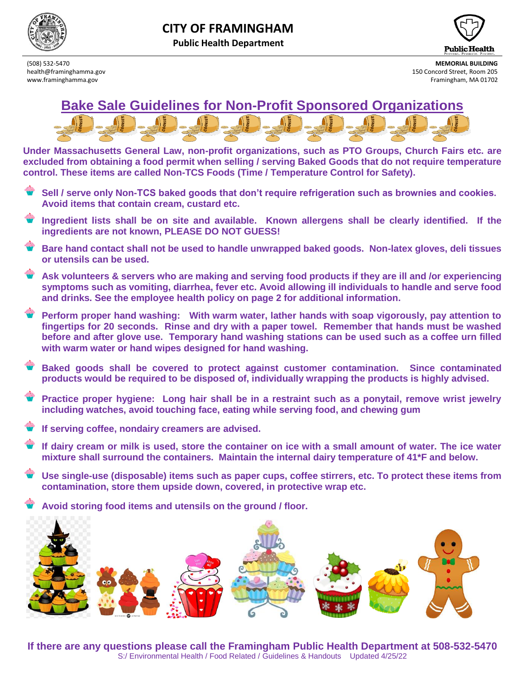

**Public Health Department**



(508) 532-5470 **MEMORIAL BUILDING** health@framinghamma.gov 150 Concord Street, Room 205 www.framinghamma.gov **Framinghamma.gov** Framingham, MA 01702



**Under Massachusetts General Law, non-profit organizations, such as PTO Groups, Church Fairs etc. are excluded from obtaining a food permit when selling / serving Baked Goods that do not require temperature control. These items are called Non-TCS Foods (Time / Temperature Control for Safety).** 

- **Sell / serve only Non-TCS baked goods that don't require refrigeration such as brownies and cookies. Avoid items that contain cream, custard etc.**
- **Ingredient lists shall be on site and available. Known allergens shall be clearly identified. If the ingredients are not known, PLEASE DO NOT GUESS!**
- **Bare hand contact shall not be used to handle unwrapped baked goods. Non-latex gloves, deli tissues or utensils can be used.**
- **Ask volunteers & servers who are making and serving food products if they are ill and /or experiencing symptoms such as vomiting, diarrhea, fever etc. Avoid allowing ill individuals to handle and serve food and drinks. See the employee health policy on page 2 for additional information.**
- **Perform proper hand washing: With warm water, lather hands with soap vigorously, pay attention to fingertips for 20 seconds. Rinse and dry with a paper towel. Remember that hands must be washed before and after glove use. Temporary hand washing stations can be used such as a coffee urn filled with warm water or hand wipes designed for hand washing.**
- **Baked goods shall be covered to protect against customer contamination. Since contaminated products would be required to be disposed of, individually wrapping the products is highly advised.**
- **Practice proper hygiene: Long hair shall be in a restraint such as a ponytail, remove wrist jewelry including watches, avoid touching face, eating while serving food, and chewing gum**
- **If serving coffee, nondairy creamers are advised.**
- **If dairy cream or milk is used, store the container on ice with a small amount of water. The ice water mixture shall surround the containers. Maintain the internal dairy temperature of 41\*F and below.**
- **Use single-use (disposable) items such as paper cups, coffee stirrers, etc. To protect these items from contamination, store them upside down, covered, in protective wrap etc.**

**Avoid storing food items and utensils on the ground / floor.**



**If there are any questions please call the Framingham Public Health Department at 508-532-5470** S:/ Environmental Health / Food Related / Guidelines & Handouts Updated 4/25/22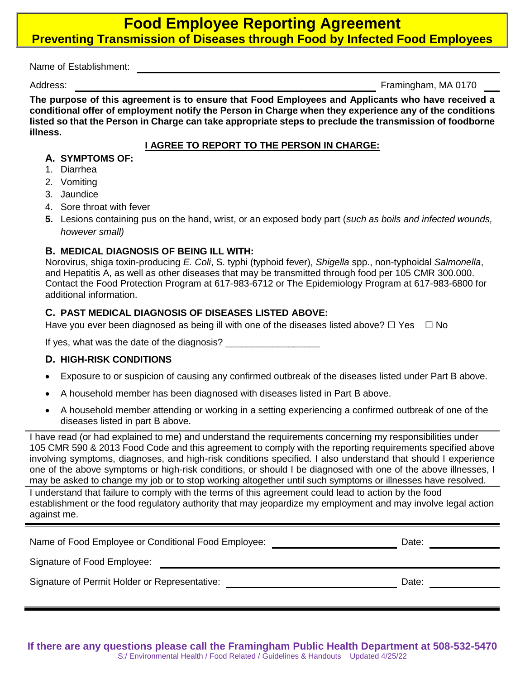# **Food Employee Reporting Agreement Preventing Transmission of Diseases through Food by Infected Food Employees**

Name of Establishment:

Address: Framingham, MA 0170

**The purpose of this agreement is to ensure that Food Employees and Applicants who have received a conditional offer of employment notify the Person in Charge when they experience any of the conditions listed so that the Person in Charge can take appropriate steps to preclude the transmission of foodborne illness.**

#### **I AGREE TO REPORT TO THE PERSON IN CHARGE:**

#### **A. SYMPTOMS OF:**

- 1. Diarrhea
- 2. Vomiting
- 3. Jaundice
- 4. Sore throat with fever
- **5.** Lesions containing pus on the hand, wrist, or an exposed body part (*such as boils and infected wounds, however small)*

### **B. MEDICAL DIAGNOSIS OF BEING ILL WITH:**

Norovirus, shiga toxin-producing *E. Coli*, S. typhi (typhoid fever), *Shigella* spp., non-typhoidal *Salmonella*, and Hepatitis A, as well as other diseases that may be transmitted through food per 105 CMR 300.000. Contact the Food Protection Program at 617-983-6712 or The Epidemiology Program at 617-983-6800 for additional information.

### **C. PAST MEDICAL DIAGNOSIS OF DISEASES LISTED ABOVE:**

Have you ever been diagnosed as being ill with one of the diseases listed above?  $\Box$  Yes  $\Box$  No

If yes, what was the date of the diagnosis? \_\_\_\_\_\_\_\_\_\_\_\_\_\_\_\_\_\_

### **D. HIGH-RISK CONDITIONS**

- Exposure to or suspicion of causing any confirmed outbreak of the diseases listed under Part B above.
- A household member has been diagnosed with diseases listed in Part B above.
- A household member attending or working in a setting experiencing a confirmed outbreak of one of the diseases listed in part B above.

I have read (or had explained to me) and understand the requirements concerning my responsibilities under 105 CMR 590 & 2013 Food Code and this agreement to comply with the reporting requirements specified above involving symptoms, diagnoses, and high-risk conditions specified. I also understand that should I experience one of the above symptoms or high-risk conditions, or should I be diagnosed with one of the above illnesses, I may be asked to change my job or to stop working altogether until such symptoms or illnesses have resolved.

I understand that failure to comply with the terms of this agreement could lead to action by the food establishment or the food regulatory authority that may jeopardize my employment and may involve legal action against me.

| Name of Food Employee or Conditional Food Employee: | Date: |  |
|-----------------------------------------------------|-------|--|
|                                                     |       |  |

Signature of Food Employee:

Signature of Permit Holder or Representative: Date: Date: Date: Date: Date: Date: Date: Date: Date: Date: Date: Date: Date: Date: Date: Date: Date: Date: Date: Date: Date: Date: Date: Date: Date: Date: Date: Date: Date: Da